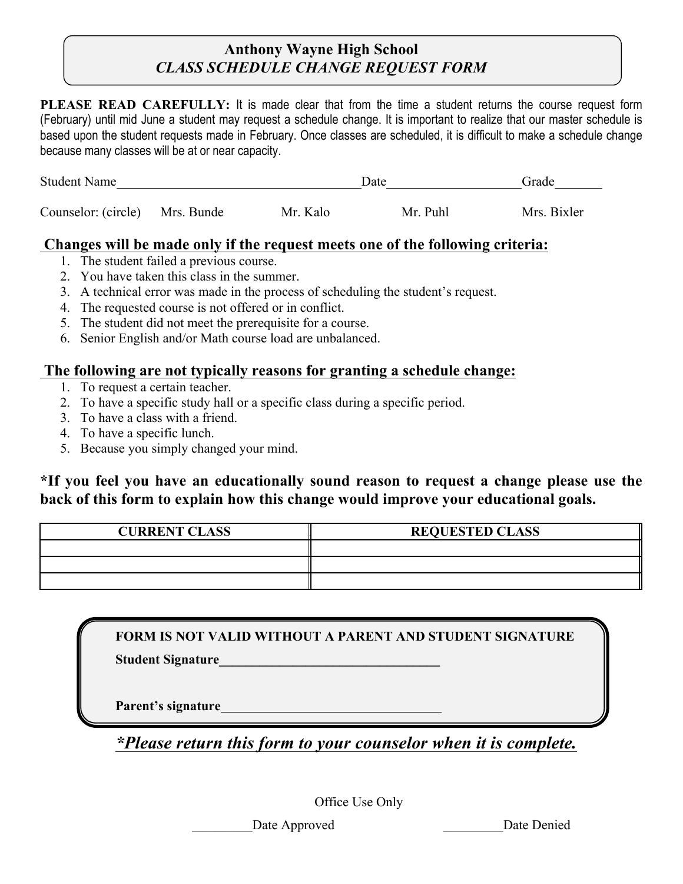## **Anthony Wayne High School** *CLASS SCHEDULE CHANGE REQUEST FORM*

**PLEASE READ CAREFULLY:** It is made clear that from the time a student returns the course request form (February) until mid June a student may request a schedule change. It is important to realize that our master schedule is based upon the student requests made in February. Once classes are scheduled, it is difficult to make a schedule change because many classes will be at or near capacity.

| <b>Student Name</b>            |  |          | Date     | Grade       |
|--------------------------------|--|----------|----------|-------------|
| Counselor: (circle) Mrs. Bunde |  | Mr. Kalo | Mr. Puhl | Mrs. Bixler |

## **Changes will be made only if the request meets one of the following criteria:**

- 1. The student failed a previous course.
- 2. You have taken this class in the summer.
- 3. A technical error was made in the process of scheduling the student's request.
- 4. The requested course is not offered or in conflict.
- 5. The student did not meet the prerequisite for a course.
- 6. Senior English and/or Math course load are unbalanced.

## **The following are not typically reasons for granting a schedule change:**

- 1. To request a certain teacher.
- 2. To have a specific study hall or a specific class during a specific period.
- 3. To have a class with a friend.
- 4. To have a specific lunch.
- 5. Because you simply changed your mind.

**\*If you feel you have an educationally sound reason to request a change please use the back of this form to explain how this change would improve your educational goals.**

| <b>CURRENT CLASS</b> | <b>REQUESTED CLASS</b> |
|----------------------|------------------------|
|                      |                        |
|                      |                        |
|                      |                        |

**FORM IS NOT VALID WITHOUT A PARENT AND STUDENT SIGNATURE**

**Student Signature\_\_\_\_\_\_\_\_\_\_\_\_\_\_\_\_\_\_\_\_\_\_\_\_\_\_\_\_\_\_\_\_\_**

**Parent's signature**

*\*Please return this form to your counselor when it is complete.* 

Office Use Only

Date Approved Date Denied